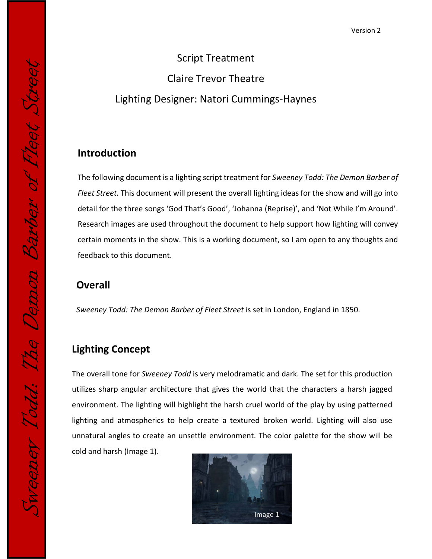# Script Treatment Claire Trevor Theatre Lighting Designer: Natori Cummings-Haynes

#### **Introduction**

The following document is a lighting script treatment for *Sweeney Todd: The Demon Barber of Fleet Street.* This document will present the overall lighting ideas for the show and will go into detail for the three songs 'God That's Good', 'Johanna (Reprise)', and 'Not While I'm Around'. Research images are used throughout the document to help support how lighting will convey certain moments in the show. This is a working document, so I am open to any thoughts and feedback to this document.

# **Overall**

*Sweeney Todd: The Demon Barber of Fleet Street* is set in London, England in 1850.

## **Lighting Concept**

The overall tone for *Sweeney Todd* is very melodramatic and dark. The set for this production utilizes sharp angular architecture that gives the world that the characters a harsh jagged environment. The lighting will highlight the harsh cruel world of the play by using patterned lighting and atmospherics to help create a textured broken world. Lighting will also use unnatural angles to create an unsettle environment. The color palette for the show will be cold and harsh (Image 1).

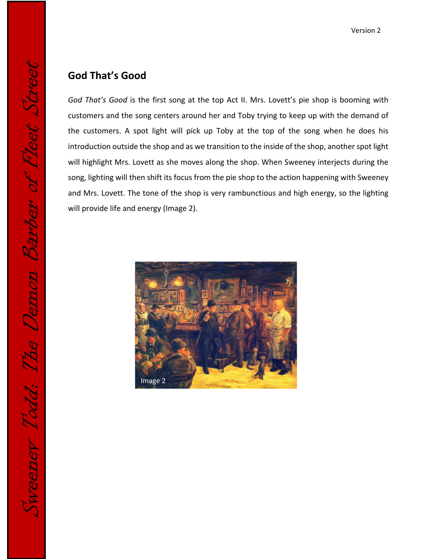#### **God That's Good**

Sweeney Todd: The Demon Barber of Fleet Street

weeney Todd: The Demon Barber of Fleet S

*God That's Good* is the first song at the top Act II. Mrs. Lovett's pie shop is booming with customers and the song centers around her and Toby trying to keep up with the demand of the customers. A spot light will pick up Toby at the top of the song when he does his introduction outside the shop and as we transition to the inside of the shop, another spot light will highlight Mrs. Lovett as she moves along the shop. When Sweeney interjects during the song, lighting will then shift its focus from the pie shop to the action happening with Sweeney and Mrs. Lovett. The tone of the shop is very rambunctious and high energy, so the lighting will provide life and energy (Image 2).

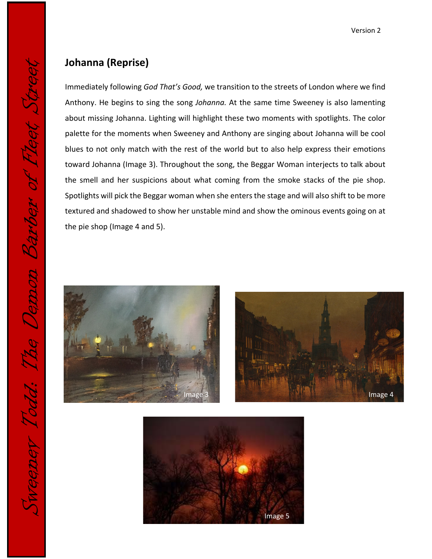#### **Johanna (Reprise)**

Immediately following *God That's Good,* we transition to the streets of London where we find Anthony. He begins to sing the song *Johanna.* At the same time Sweeney is also lamenting about missing Johanna. Lighting will highlight these two moments with spotlights. The color palette for the moments when Sweeney and Anthony are singing about Johanna will be cool blues to not only match with the rest of the world but to also help express their emotions toward Johanna (Image 3). Throughout the song, the Beggar Woman interjects to talk about the smell and her suspicions about what coming from the smoke stacks of the pie shop. Spotlights will pick the Beggar woman when she enters the stage and will also shift to be more textured and shadowed to show her unstable mind and show the ominous events going on at the pie shop (Image 4 and 5).